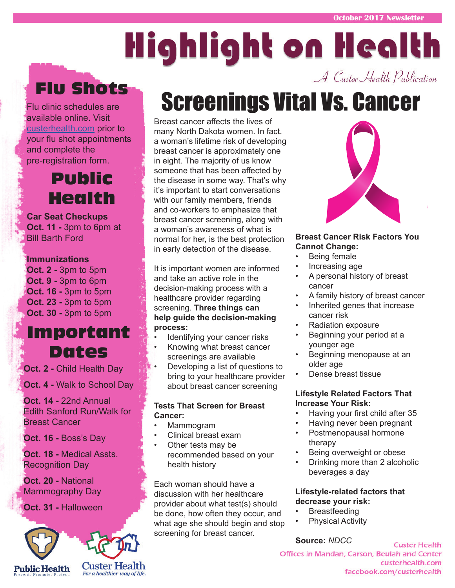# Highlight on Health A Custer Health Publication

## Flu Shots

Flu clinic schedules are available online. Visit custerhealth.com prior to your flu shot appointments and complete the pre-registration form.

### Public Health

**Car Seat Checkups Oct. 11 -** 3pm to 6pm at Bill Barth Ford

#### **Immunizations**

**Oct. 2 -** 3pm to 5pm **Oct. 9 -** 3pm to 6pm **Oct. 16 -** 3pm to 5pm **Oct. 23 -** 3pm to 5pm **Oct. 30 -** 3pm to 5pm

### Important Dates

**Oct. 2 -** Child Health Day

**Oct. 4 -** Walk to School Day

**Oct. 14 -** 22nd Annual Edith Sanford Run/Walk for Breast Cancer

**Oct. 16 -** Boss's Day

**Oct. 18 -** Medical Assts. Recognition Day

**Oct. 20 -** National Mammography Day

**Oct. 31 -** Halloween



## Screenings Vital Vs. Cancer

Breast cancer affects the lives of many North Dakota women. In fact, a woman's lifetime risk of developing breast cancer is approximately one in eight. The majority of us know someone that has been affected by the disease in some way. That's why it's important to start conversations with our family members, friends and co-workers to emphasize that breast cancer screening, along with a woman's awareness of what is normal for her, is the best protection in early detection of the disease.

It is important women are informed and take an active role in the decision-making process with a healthcare provider regarding screening. **Three things can help guide the decision-making process:**

- Identifying your cancer risks
- Knowing what breast cancer screenings are available
- Developing a list of questions to bring to your healthcare provider about breast cancer screening

#### **Tests That Screen for Breast Cancer:**

- Mammogram
- Clinical breast exam
- Other tests may be recommended based on your health history

Each woman should have a discussion with her healthcare provider about what test(s) should be done, how often they occur, and what age she should begin and stop screening for breast cancer.



#### **Breast Cancer Risk Factors You Cannot Change:**

- Being female
- Increasing age
- A personal history of breast cancer
- A family history of breast cancer
- Inherited genes that increase cancer risk
- Radiation exposure
- Beginning your period at a younger age
- Beginning menopause at an older age
- Dense breast tissue

#### **Lifestyle Related Factors That Increase Your Risk:**

- Having your first child after 35
- Having never been pregnant
- Postmenopausal hormone therapy
- Being overweight or obese
- Drinking more than 2 alcoholic beverages a day

#### **Lifestyle-related factors that decrease your risk:**

- **Breastfeeding**
- **Physical Activity**

**Source:** *NDCC*

**Custer Health** Offices in Mandan, Carson, Beulah and Center custerhealth.com facebook.com/custerhealth